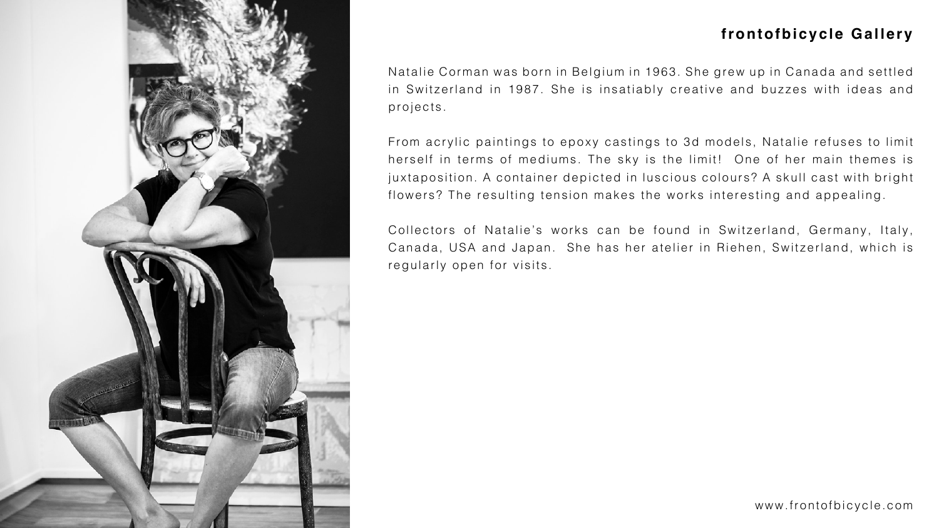

Natalie Corman was born in Belgium in 1963. She grew up in Canada and settled in Switzerland in 1987. She is insatiably creative and buzzes with ideas and projects.

From acrylic paintings to epoxy castings to 3d models, Natalie refuses to limit herself in terms of mediums. The sky is the limit! One of her main themes is juxtaposition. A container depicted in luscious colours? A skull cast with bright flowers? The resulting tension makes the works interesting and appealing.

Collectors of Natalie's works can be found in Switzerland, Germany, Italy, Canada, USA and Japan. She has her atelier in Riehen, Switzerland, which is regularly open for visits.







## **frontofbicycle Gallery**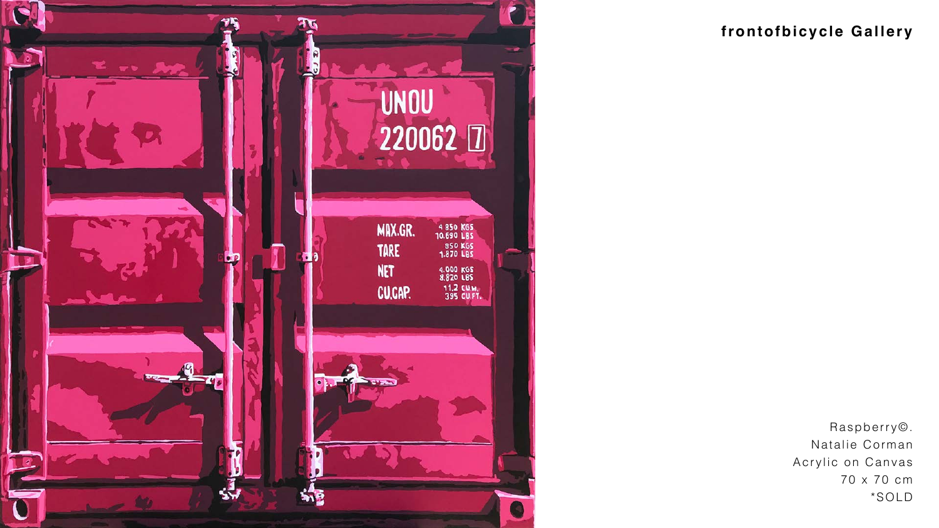

# **frontofbicycle Gallery**

Raspberry©. Natalie Corman Acrylic on Canvas 70 x 70 cm

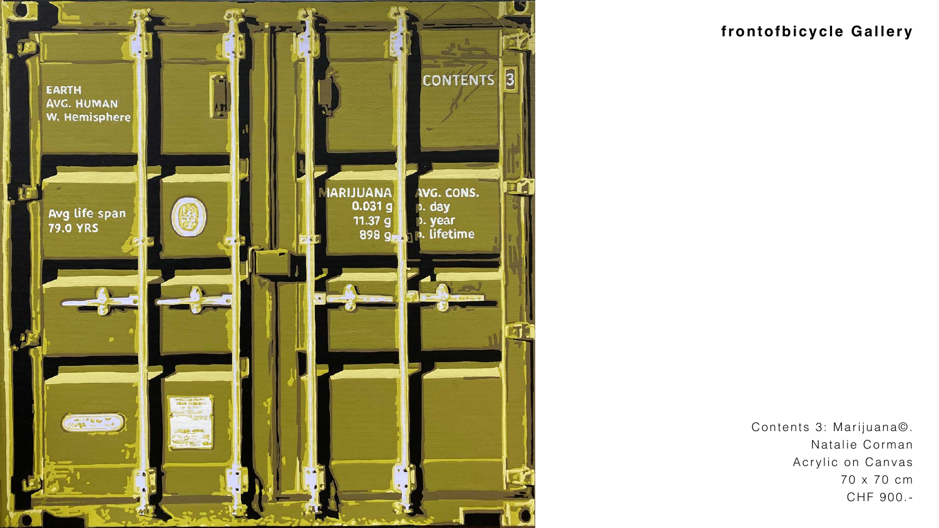

## **frontofbicycle Gallery**

Contents 3: Marijuana©. Natalie Corman Acrylic on Canvas 70 x 70 cm CHF 900.-

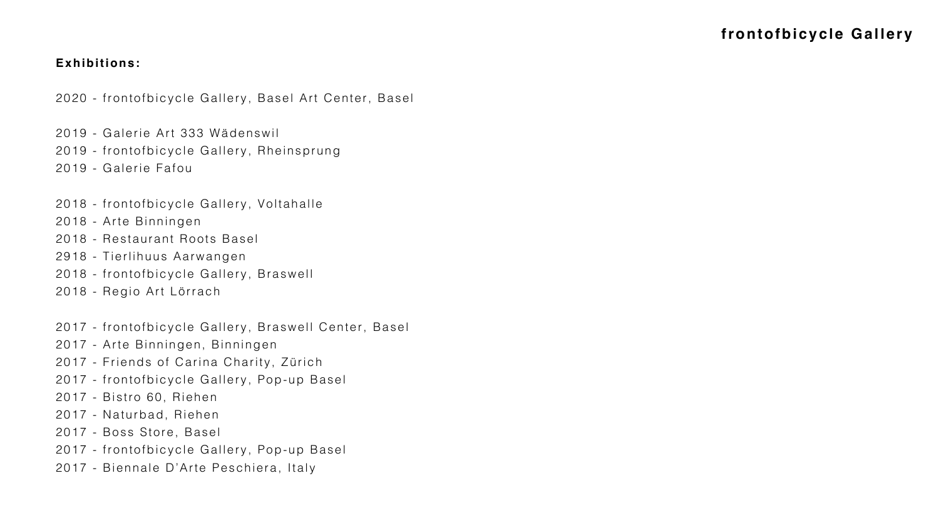#### **Exhibitions:**

2020 - frontofbicycle Gallery, Basel Art Center, Basel

- 2019 Galerie Art 333 Wädenswil
- 2019 frontofbicycle Gallery, Rheinsprung
- 2019 Galerie Fafou
- 2018 frontofbicycle Gallery, Voltahalle
- 2018 Arte Binningen
- 2018 Restaurant Roots Basel
- 2918 Tierlihuus Aarwangen
- 2018 frontofbicycle Gallery, Braswell
- 2018 Regio Art Lörrach
- 2017 frontofbicycle Gallery, Braswell Center, Basel
- 2017 Arte Binningen, Binningen
- 2017 Friends of Carina Charity, Zürich
- 2017 frontofbicycle Gallery, Pop-up Basel
- 2017 Bistro 60, Riehen
- 2017 Naturbad, Riehen
- 2017 Boss Store, Basel
- 2017 frontofbicycle Gallery, Pop-up Basel
- 2017 Biennale D'Arte Peschiera, Italy

### **frontofbicycle Gallery**